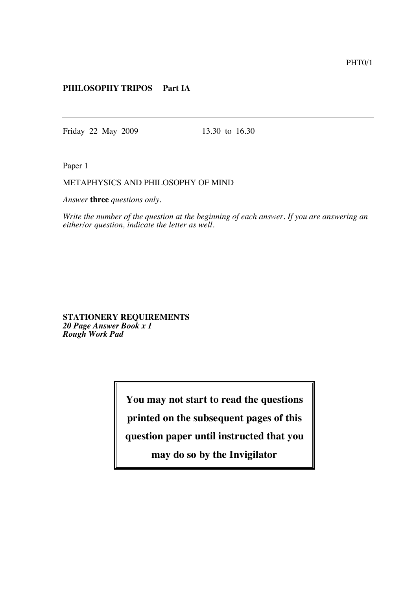## **PHILOSOPHY TRIPOS Part IA**

Friday 22 May 2009 13.30 to 16.30

Paper 1

## METAPHYSICS AND PHILOSOPHY OF MIND

*Answer* **three** *questions only.*

*Write the number of the question at the beginning of each answer. If you are answering an either/or question, indicate the letter as well.*

**STATIONERY REQUIREMENTS** *20 Page Answer Book x 1 Rough Work Pad*

**You may not start to read the questions**

**printed on the subsequent pages of this**

**question paper until instructed that you**

**may do so by the Invigilator**